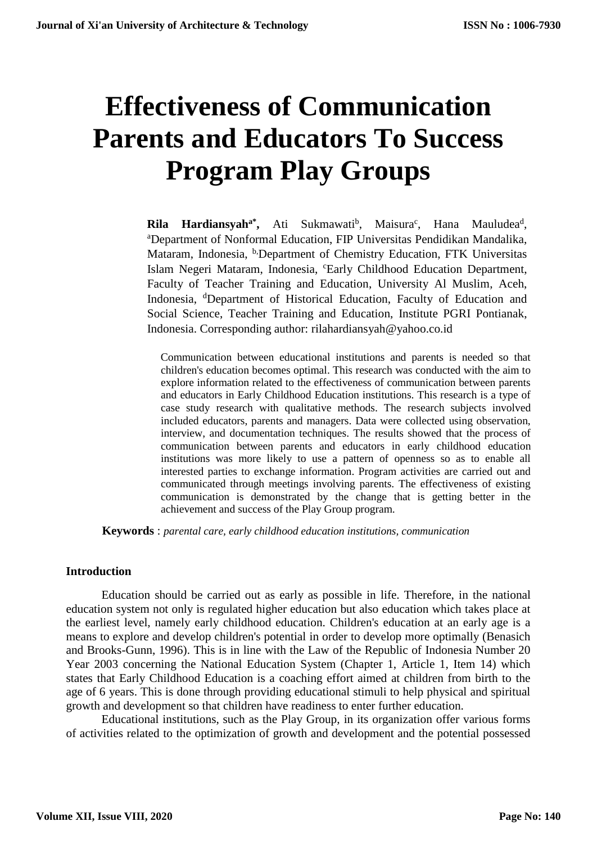# **Effectiveness of Communication Parents and Educators To Success Program Play Groups**

Rila Hardiansyah<sup>a\*</sup>, Ati Sukmawati<sup>b</sup>, Maisura<sup>c</sup>, Hana Mauludea<sup>d</sup>, <sup>a</sup>Department of Nonformal Education, FIP Universitas Pendidikan Mandalika, Mataram, Indonesia, <sup>b,</sup>Department of Chemistry Education, FTK Universitas Islam Negeri Mataram, Indonesia, "Early Childhood Education Department, Faculty of Teacher Training and Education, University Al Muslim, Aceh, Indonesia, <sup>d</sup>Department of Historical Education, Faculty of Education and Social Science, Teacher Training and Education, Institute PGRI Pontianak, Indonesia. Corresponding author: rilahardiansyah@yahoo.co.id

Communication between educational institutions and parents is needed so that children's education becomes optimal. This research was conducted with the aim to explore information related to the effectiveness of communication between parents and educators in Early Childhood Education institutions. This research is a type of case study research with qualitative methods. The research subjects involved included educators, parents and managers. Data were collected using observation, interview, and documentation techniques. The results showed that the process of communication between parents and educators in early childhood education institutions was more likely to use a pattern of openness so as to enable all interested parties to exchange information. Program activities are carried out and communicated through meetings involving parents. The effectiveness of existing communication is demonstrated by the change that is getting better in the achievement and success of the Play Group program.

**Keywords** : *parental care, early childhood education institutions, communication*

#### **Introduction**

Education should be carried out as early as possible in life. Therefore, in the national education system not only is regulated higher education but also education which takes place at the earliest level, namely early childhood education. Children's education at an early age is a means to explore and develop children's potential in order to develop more optimally (Benasich and Brooks-Gunn, 1996). This is in line with the Law of the Republic of Indonesia Number 20 Year 2003 concerning the National Education System (Chapter 1, Article 1, Item 14) which states that Early Childhood Education is a coaching effort aimed at children from birth to the age of 6 years. This is done through providing educational stimuli to help physical and spiritual growth and development so that children have readiness to enter further education.

Educational institutions, such as the Play Group, in its organization offer various forms of activities related to the optimization of growth and development and the potential possessed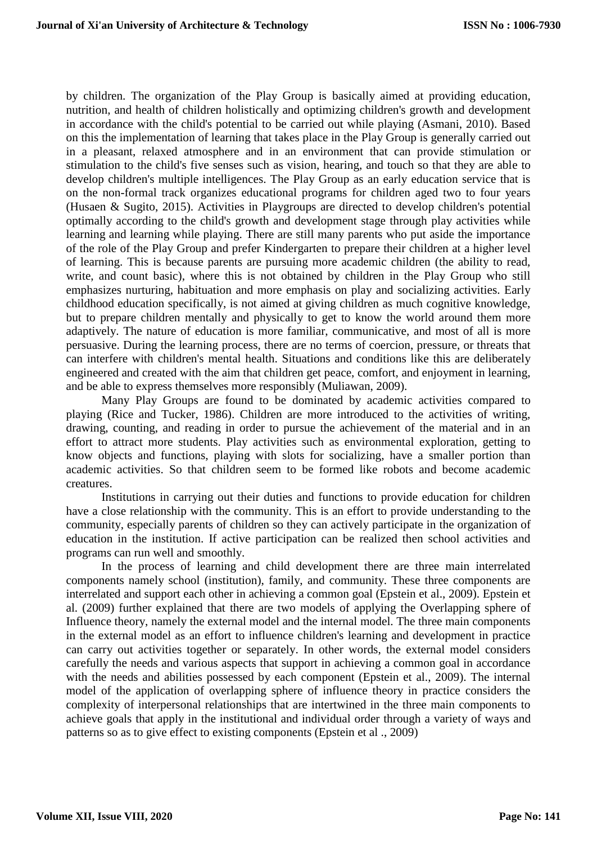by children. The organization of the Play Group is basically aimed at providing education, nutrition, and health of children holistically and optimizing children's growth and development in accordance with the child's potential to be carried out while playing (Asmani, 2010). Based on this the implementation of learning that takes place in the Play Group is generally carried out in a pleasant, relaxed atmosphere and in an environment that can provide stimulation or stimulation to the child's five senses such as vision, hearing, and touch so that they are able to develop children's multiple intelligences. The Play Group as an early education service that is on the non-formal track organizes educational programs for children aged two to four years (Husaen & Sugito, 2015). Activities in Playgroups are directed to develop children's potential optimally according to the child's growth and development stage through play activities while learning and learning while playing. There are still many parents who put aside the importance of the role of the Play Group and prefer Kindergarten to prepare their children at a higher level of learning. This is because parents are pursuing more academic children (the ability to read, write, and count basic), where this is not obtained by children in the Play Group who still emphasizes nurturing, habituation and more emphasis on play and socializing activities. Early childhood education specifically, is not aimed at giving children as much cognitive knowledge, but to prepare children mentally and physically to get to know the world around them more adaptively. The nature of education is more familiar, communicative, and most of all is more persuasive. During the learning process, there are no terms of coercion, pressure, or threats that can interfere with children's mental health. Situations and conditions like this are deliberately engineered and created with the aim that children get peace, comfort, and enjoyment in learning, and be able to express themselves more responsibly (Muliawan, 2009).

Many Play Groups are found to be dominated by academic activities compared to playing (Rice and Tucker, 1986). Children are more introduced to the activities of writing, drawing, counting, and reading in order to pursue the achievement of the material and in an effort to attract more students. Play activities such as environmental exploration, getting to know objects and functions, playing with slots for socializing, have a smaller portion than academic activities. So that children seem to be formed like robots and become academic creatures.

Institutions in carrying out their duties and functions to provide education for children have a close relationship with the community. This is an effort to provide understanding to the community, especially parents of children so they can actively participate in the organization of education in the institution. If active participation can be realized then school activities and programs can run well and smoothly.

In the process of learning and child development there are three main interrelated components namely school (institution), family, and community. These three components are interrelated and support each other in achieving a common goal (Epstein et al., 2009). Epstein et al. (2009) further explained that there are two models of applying the Overlapping sphere of Influence theory, namely the external model and the internal model. The three main components in the external model as an effort to influence children's learning and development in practice can carry out activities together or separately. In other words, the external model considers carefully the needs and various aspects that support in achieving a common goal in accordance with the needs and abilities possessed by each component (Epstein et al., 2009). The internal model of the application of overlapping sphere of influence theory in practice considers the complexity of interpersonal relationships that are intertwined in the three main components to achieve goals that apply in the institutional and individual order through a variety of ways and patterns so as to give effect to existing components (Epstein et al ., 2009)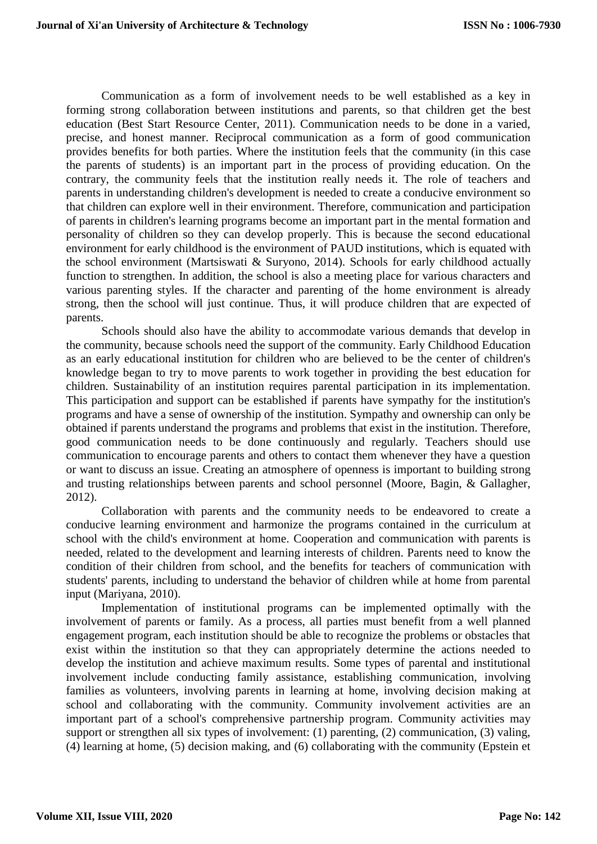Communication as a form of involvement needs to be well established as a key in forming strong collaboration between institutions and parents, so that children get the best education (Best Start Resource Center, 2011). Communication needs to be done in a varied, precise, and honest manner. Reciprocal communication as a form of good communication provides benefits for both parties. Where the institution feels that the community (in this case the parents of students) is an important part in the process of providing education. On the contrary, the community feels that the institution really needs it. The role of teachers and parents in understanding children's development is needed to create a conducive environment so that children can explore well in their environment. Therefore, communication and participation of parents in children's learning programs become an important part in the mental formation and personality of children so they can develop properly. This is because the second educational environment for early childhood is the environment of PAUD institutions, which is equated with the school environment (Martsiswati & Suryono, 2014). Schools for early childhood actually function to strengthen. In addition, the school is also a meeting place for various characters and various parenting styles. If the character and parenting of the home environment is already strong, then the school will just continue. Thus, it will produce children that are expected of parents.

Schools should also have the ability to accommodate various demands that develop in the community, because schools need the support of the community. Early Childhood Education as an early educational institution for children who are believed to be the center of children's knowledge began to try to move parents to work together in providing the best education for children. Sustainability of an institution requires parental participation in its implementation. This participation and support can be established if parents have sympathy for the institution's programs and have a sense of ownership of the institution. Sympathy and ownership can only be obtained if parents understand the programs and problems that exist in the institution. Therefore, good communication needs to be done continuously and regularly. Teachers should use communication to encourage parents and others to contact them whenever they have a question or want to discuss an issue. Creating an atmosphere of openness is important to building strong and trusting relationships between parents and school personnel (Moore, Bagin, & Gallagher, 2012).

Collaboration with parents and the community needs to be endeavored to create a conducive learning environment and harmonize the programs contained in the curriculum at school with the child's environment at home. Cooperation and communication with parents is needed, related to the development and learning interests of children. Parents need to know the condition of their children from school, and the benefits for teachers of communication with students' parents, including to understand the behavior of children while at home from parental input (Mariyana, 2010).

Implementation of institutional programs can be implemented optimally with the involvement of parents or family. As a process, all parties must benefit from a well planned engagement program, each institution should be able to recognize the problems or obstacles that exist within the institution so that they can appropriately determine the actions needed to develop the institution and achieve maximum results. Some types of parental and institutional involvement include conducting family assistance, establishing communication, involving families as volunteers, involving parents in learning at home, involving decision making at school and collaborating with the community. Community involvement activities are an important part of a school's comprehensive partnership program. Community activities may support or strengthen all six types of involvement: (1) parenting, (2) communication, (3) valing, (4) learning at home, (5) decision making, and (6) collaborating with the community (Epstein et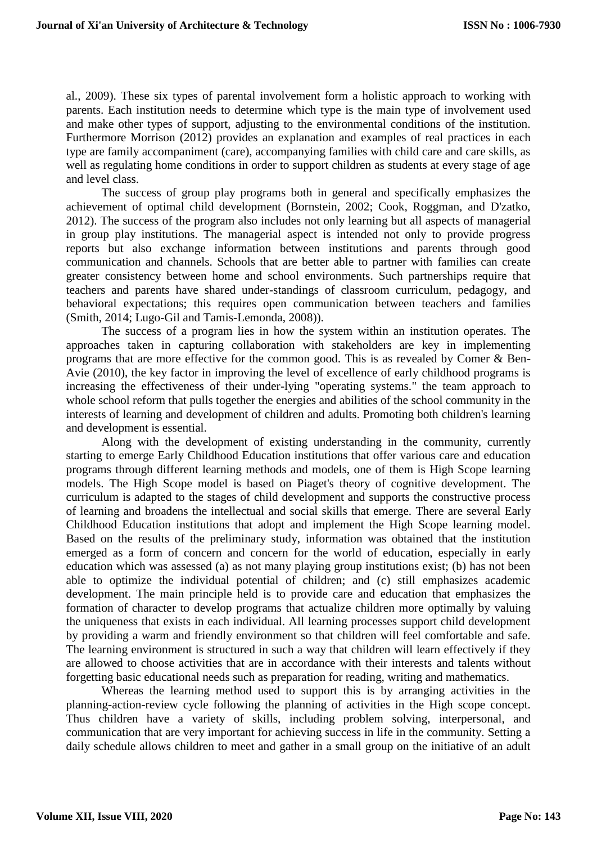al., 2009). These six types of parental involvement form a holistic approach to working with parents. Each institution needs to determine which type is the main type of involvement used and make other types of support, adjusting to the environmental conditions of the institution. Furthermore Morrison (2012) provides an explanation and examples of real practices in each type are family accompaniment (care), accompanying families with child care and care skills, as well as regulating home conditions in order to support children as students at every stage of age and level class.

The success of group play programs both in general and specifically emphasizes the achievement of optimal child development (Bornstein, 2002; Cook, Roggman, and D'zatko, 2012). The success of the program also includes not only learning but all aspects of managerial in group play institutions. The managerial aspect is intended not only to provide progress reports but also exchange information between institutions and parents through good communication and channels. Schools that are better able to partner with families can create greater consistency between home and school environments. Such partnerships require that teachers and parents have shared under-standings of classroom curriculum, pedagogy, and behavioral expectations; this requires open communication between teachers and families (Smith, 2014; Lugo-Gil and Tamis-Lemonda, 2008)).

The success of a program lies in how the system within an institution operates. The approaches taken in capturing collaboration with stakeholders are key in implementing programs that are more effective for the common good. This is as revealed by Comer & Ben-Avie (2010), the key factor in improving the level of excellence of early childhood programs is increasing the effectiveness of their under-lying "operating systems." the team approach to whole school reform that pulls together the energies and abilities of the school community in the interests of learning and development of children and adults. Promoting both children's learning and development is essential.

Along with the development of existing understanding in the community, currently starting to emerge Early Childhood Education institutions that offer various care and education programs through different learning methods and models, one of them is High Scope learning models. The High Scope model is based on Piaget's theory of cognitive development. The curriculum is adapted to the stages of child development and supports the constructive process of learning and broadens the intellectual and social skills that emerge. There are several Early Childhood Education institutions that adopt and implement the High Scope learning model. Based on the results of the preliminary study, information was obtained that the institution emerged as a form of concern and concern for the world of education, especially in early education which was assessed (a) as not many playing group institutions exist; (b) has not been able to optimize the individual potential of children; and (c) still emphasizes academic development. The main principle held is to provide care and education that emphasizes the formation of character to develop programs that actualize children more optimally by valuing the uniqueness that exists in each individual. All learning processes support child development by providing a warm and friendly environment so that children will feel comfortable and safe. The learning environment is structured in such a way that children will learn effectively if they are allowed to choose activities that are in accordance with their interests and talents without forgetting basic educational needs such as preparation for reading, writing and mathematics.

Whereas the learning method used to support this is by arranging activities in the planning-action-review cycle following the planning of activities in the High scope concept. Thus children have a variety of skills, including problem solving, interpersonal, and communication that are very important for achieving success in life in the community. Setting a daily schedule allows children to meet and gather in a small group on the initiative of an adult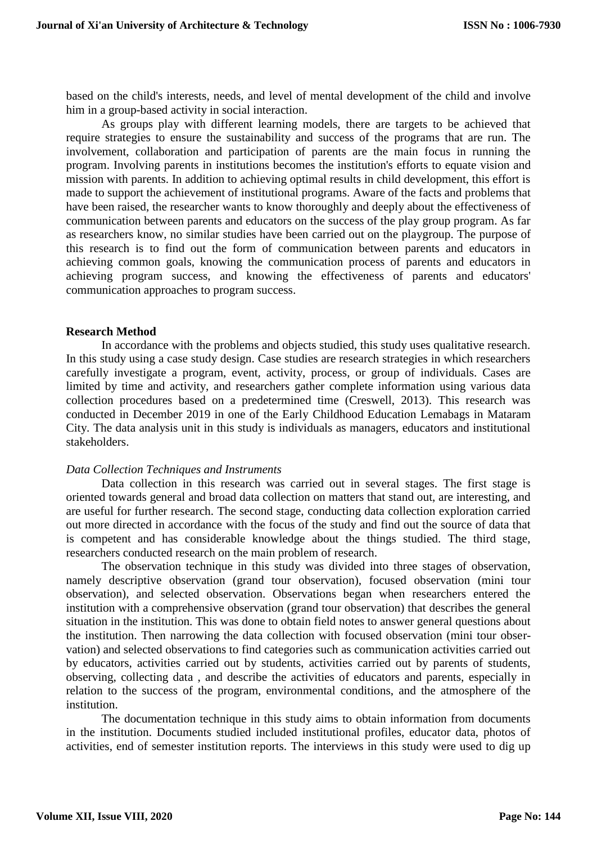based on the child's interests, needs, and level of mental development of the child and involve him in a group-based activity in social interaction.

As groups play with different learning models, there are targets to be achieved that require strategies to ensure the sustainability and success of the programs that are run. The involvement, collaboration and participation of parents are the main focus in running the program. Involving parents in institutions becomes the institution's efforts to equate vision and mission with parents. In addition to achieving optimal results in child development, this effort is made to support the achievement of institutional programs. Aware of the facts and problems that have been raised, the researcher wants to know thoroughly and deeply about the effectiveness of communication between parents and educators on the success of the play group program. As far as researchers know, no similar studies have been carried out on the playgroup. The purpose of this research is to find out the form of communication between parents and educators in achieving common goals, knowing the communication process of parents and educators in achieving program success, and knowing the effectiveness of parents and educators' communication approaches to program success.

#### **Research Method**

In accordance with the problems and objects studied, this study uses qualitative research. In this study using a case study design. Case studies are research strategies in which researchers carefully investigate a program, event, activity, process, or group of individuals. Cases are limited by time and activity, and researchers gather complete information using various data collection procedures based on a predetermined time (Creswell, 2013). This research was conducted in December 2019 in one of the Early Childhood Education Lemabags in Mataram City. The data analysis unit in this study is individuals as managers, educators and institutional stakeholders.

#### *Data Collection Techniques and Instruments*

Data collection in this research was carried out in several stages. The first stage is oriented towards general and broad data collection on matters that stand out, are interesting, and are useful for further research. The second stage, conducting data collection exploration carried out more directed in accordance with the focus of the study and find out the source of data that is competent and has considerable knowledge about the things studied. The third stage, researchers conducted research on the main problem of research.

The observation technique in this study was divided into three stages of observation, namely descriptive observation (grand tour observation), focused observation (mini tour observation), and selected observation. Observations began when researchers entered the institution with a comprehensive observation (grand tour observation) that describes the general situation in the institution. This was done to obtain field notes to answer general questions about the institution. Then narrowing the data collection with focused observation (mini tour observation) and selected observations to find categories such as communication activities carried out by educators, activities carried out by students, activities carried out by parents of students, observing, collecting data , and describe the activities of educators and parents, especially in relation to the success of the program, environmental conditions, and the atmosphere of the institution.

The documentation technique in this study aims to obtain information from documents in the institution. Documents studied included institutional profiles, educator data, photos of activities, end of semester institution reports. The interviews in this study were used to dig up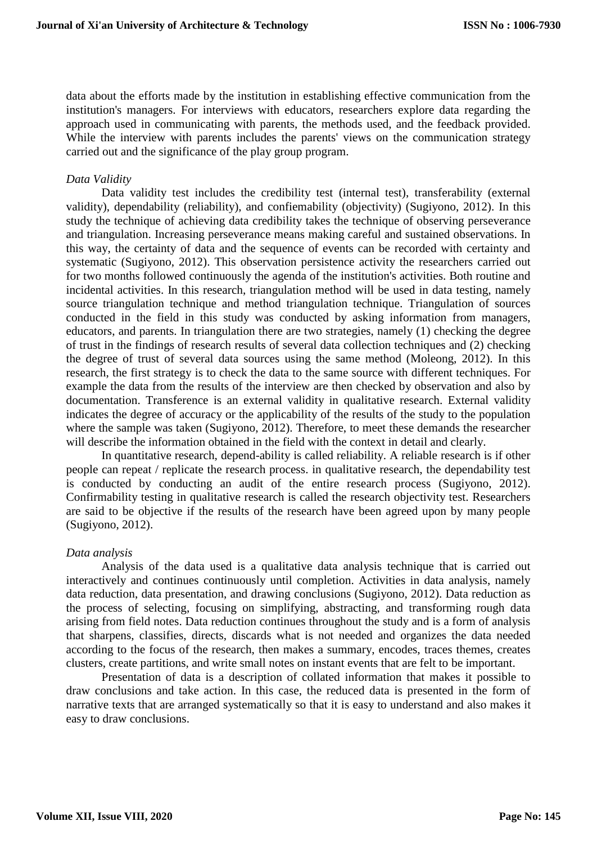data about the efforts made by the institution in establishing effective communication from the institution's managers. For interviews with educators, researchers explore data regarding the approach used in communicating with parents, the methods used, and the feedback provided. While the interview with parents includes the parents' views on the communication strategy carried out and the significance of the play group program.

### *Data Validity*

Data validity test includes the credibility test (internal test), transferability (external validity), dependability (reliability), and confiemability (objectivity) (Sugiyono, 2012). In this study the technique of achieving data credibility takes the technique of observing perseverance and triangulation. Increasing perseverance means making careful and sustained observations. In this way, the certainty of data and the sequence of events can be recorded with certainty and systematic (Sugiyono, 2012). This observation persistence activity the researchers carried out for two months followed continuously the agenda of the institution's activities. Both routine and incidental activities. In this research, triangulation method will be used in data testing, namely source triangulation technique and method triangulation technique. Triangulation of sources conducted in the field in this study was conducted by asking information from managers, educators, and parents. In triangulation there are two strategies, namely (1) checking the degree of trust in the findings of research results of several data collection techniques and (2) checking the degree of trust of several data sources using the same method (Moleong, 2012). In this research, the first strategy is to check the data to the same source with different techniques. For example the data from the results of the interview are then checked by observation and also by documentation. Transference is an external validity in qualitative research. External validity indicates the degree of accuracy or the applicability of the results of the study to the population where the sample was taken (Sugiyono, 2012). Therefore, to meet these demands the researcher will describe the information obtained in the field with the context in detail and clearly.

In quantitative research, depend-ability is called reliability. A reliable research is if other people can repeat / replicate the research process. in qualitative research, the dependability test is conducted by conducting an audit of the entire research process (Sugiyono, 2012). Confirmability testing in qualitative research is called the research objectivity test. Researchers are said to be objective if the results of the research have been agreed upon by many people (Sugiyono, 2012).

#### *Data analysis*

Analysis of the data used is a qualitative data analysis technique that is carried out interactively and continues continuously until completion. Activities in data analysis, namely data reduction, data presentation, and drawing conclusions (Sugiyono, 2012). Data reduction as the process of selecting, focusing on simplifying, abstracting, and transforming rough data arising from field notes. Data reduction continues throughout the study and is a form of analysis that sharpens, classifies, directs, discards what is not needed and organizes the data needed according to the focus of the research, then makes a summary, encodes, traces themes, creates clusters, create partitions, and write small notes on instant events that are felt to be important.

Presentation of data is a description of collated information that makes it possible to draw conclusions and take action. In this case, the reduced data is presented in the form of narrative texts that are arranged systematically so that it is easy to understand and also makes it easy to draw conclusions.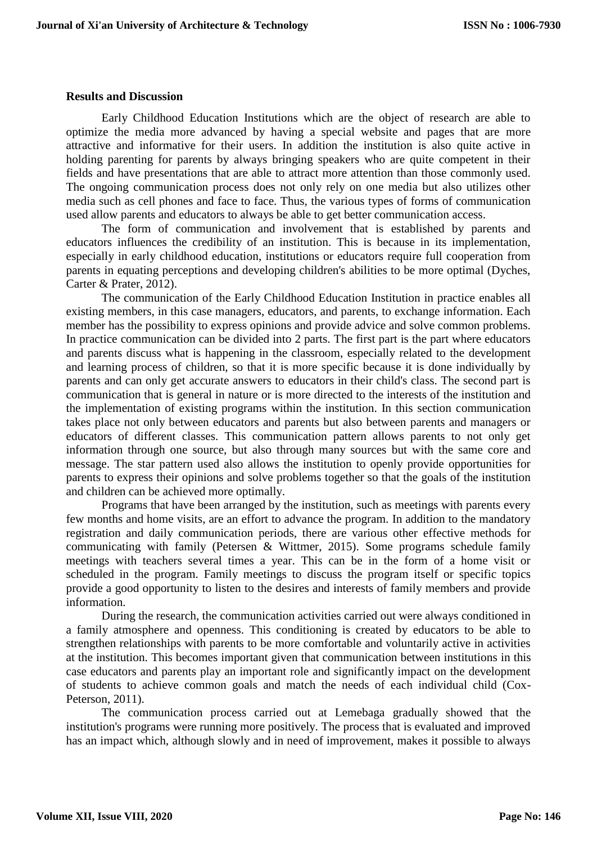#### **Results and Discussion**

Early Childhood Education Institutions which are the object of research are able to optimize the media more advanced by having a special website and pages that are more attractive and informative for their users. In addition the institution is also quite active in holding parenting for parents by always bringing speakers who are quite competent in their fields and have presentations that are able to attract more attention than those commonly used. The ongoing communication process does not only rely on one media but also utilizes other media such as cell phones and face to face. Thus, the various types of forms of communication used allow parents and educators to always be able to get better communication access.

The form of communication and involvement that is established by parents and educators influences the credibility of an institution. This is because in its implementation, especially in early childhood education, institutions or educators require full cooperation from parents in equating perceptions and developing children's abilities to be more optimal (Dyches, Carter & Prater, 2012).

The communication of the Early Childhood Education Institution in practice enables all existing members, in this case managers, educators, and parents, to exchange information. Each member has the possibility to express opinions and provide advice and solve common problems. In practice communication can be divided into 2 parts. The first part is the part where educators and parents discuss what is happening in the classroom, especially related to the development and learning process of children, so that it is more specific because it is done individually by parents and can only get accurate answers to educators in their child's class. The second part is communication that is general in nature or is more directed to the interests of the institution and the implementation of existing programs within the institution. In this section communication takes place not only between educators and parents but also between parents and managers or educators of different classes. This communication pattern allows parents to not only get information through one source, but also through many sources but with the same core and message. The star pattern used also allows the institution to openly provide opportunities for parents to express their opinions and solve problems together so that the goals of the institution and children can be achieved more optimally.

Programs that have been arranged by the institution, such as meetings with parents every few months and home visits, are an effort to advance the program. In addition to the mandatory registration and daily communication periods, there are various other effective methods for communicating with family (Petersen & Wittmer, 2015). Some programs schedule family meetings with teachers several times a year. This can be in the form of a home visit or scheduled in the program. Family meetings to discuss the program itself or specific topics provide a good opportunity to listen to the desires and interests of family members and provide information.

During the research, the communication activities carried out were always conditioned in a family atmosphere and openness. This conditioning is created by educators to be able to strengthen relationships with parents to be more comfortable and voluntarily active in activities at the institution. This becomes important given that communication between institutions in this case educators and parents play an important role and significantly impact on the development of students to achieve common goals and match the needs of each individual child (Cox-Peterson, 2011).

The communication process carried out at Lemebaga gradually showed that the institution's programs were running more positively. The process that is evaluated and improved has an impact which, although slowly and in need of improvement, makes it possible to always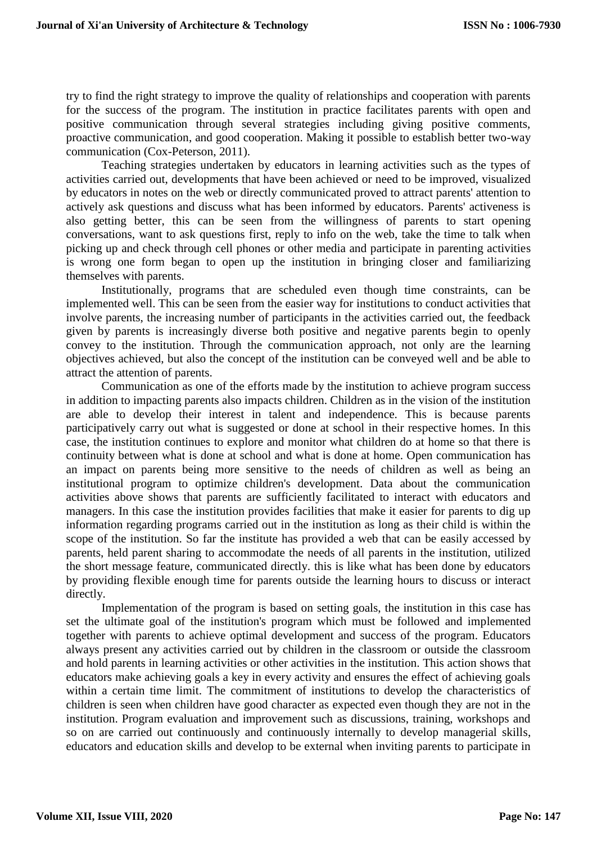try to find the right strategy to improve the quality of relationships and cooperation with parents for the success of the program. The institution in practice facilitates parents with open and positive communication through several strategies including giving positive comments, proactive communication, and good cooperation. Making it possible to establish better two-way communication (Cox-Peterson, 2011).

Teaching strategies undertaken by educators in learning activities such as the types of activities carried out, developments that have been achieved or need to be improved, visualized by educators in notes on the web or directly communicated proved to attract parents' attention to actively ask questions and discuss what has been informed by educators. Parents' activeness is also getting better, this can be seen from the willingness of parents to start opening conversations, want to ask questions first, reply to info on the web, take the time to talk when picking up and check through cell phones or other media and participate in parenting activities is wrong one form began to open up the institution in bringing closer and familiarizing themselves with parents.

Institutionally, programs that are scheduled even though time constraints, can be implemented well. This can be seen from the easier way for institutions to conduct activities that involve parents, the increasing number of participants in the activities carried out, the feedback given by parents is increasingly diverse both positive and negative parents begin to openly convey to the institution. Through the communication approach, not only are the learning objectives achieved, but also the concept of the institution can be conveyed well and be able to attract the attention of parents.

Communication as one of the efforts made by the institution to achieve program success in addition to impacting parents also impacts children. Children as in the vision of the institution are able to develop their interest in talent and independence. This is because parents participatively carry out what is suggested or done at school in their respective homes. In this case, the institution continues to explore and monitor what children do at home so that there is continuity between what is done at school and what is done at home. Open communication has an impact on parents being more sensitive to the needs of children as well as being an institutional program to optimize children's development. Data about the communication activities above shows that parents are sufficiently facilitated to interact with educators and managers. In this case the institution provides facilities that make it easier for parents to dig up information regarding programs carried out in the institution as long as their child is within the scope of the institution. So far the institute has provided a web that can be easily accessed by parents, held parent sharing to accommodate the needs of all parents in the institution, utilized the short message feature, communicated directly. this is like what has been done by educators by providing flexible enough time for parents outside the learning hours to discuss or interact directly.

Implementation of the program is based on setting goals, the institution in this case has set the ultimate goal of the institution's program which must be followed and implemented together with parents to achieve optimal development and success of the program. Educators always present any activities carried out by children in the classroom or outside the classroom and hold parents in learning activities or other activities in the institution. This action shows that educators make achieving goals a key in every activity and ensures the effect of achieving goals within a certain time limit. The commitment of institutions to develop the characteristics of children is seen when children have good character as expected even though they are not in the institution. Program evaluation and improvement such as discussions, training, workshops and so on are carried out continuously and continuously internally to develop managerial skills, educators and education skills and develop to be external when inviting parents to participate in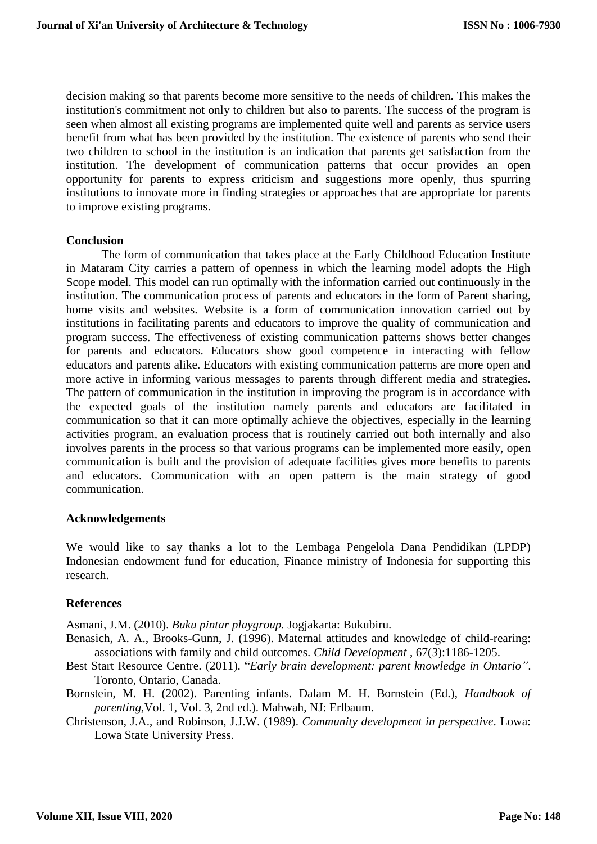decision making so that parents become more sensitive to the needs of children. This makes the institution's commitment not only to children but also to parents. The success of the program is seen when almost all existing programs are implemented quite well and parents as service users benefit from what has been provided by the institution. The existence of parents who send their two children to school in the institution is an indication that parents get satisfaction from the institution. The development of communication patterns that occur provides an open opportunity for parents to express criticism and suggestions more openly, thus spurring institutions to innovate more in finding strategies or approaches that are appropriate for parents to improve existing programs.

## **Conclusion**

The form of communication that takes place at the Early Childhood Education Institute in Mataram City carries a pattern of openness in which the learning model adopts the High Scope model. This model can run optimally with the information carried out continuously in the institution. The communication process of parents and educators in the form of Parent sharing, home visits and websites. Website is a form of communication innovation carried out by institutions in facilitating parents and educators to improve the quality of communication and program success. The effectiveness of existing communication patterns shows better changes for parents and educators. Educators show good competence in interacting with fellow educators and parents alike. Educators with existing communication patterns are more open and more active in informing various messages to parents through different media and strategies. The pattern of communication in the institution in improving the program is in accordance with the expected goals of the institution namely parents and educators are facilitated in communication so that it can more optimally achieve the objectives, especially in the learning activities program, an evaluation process that is routinely carried out both internally and also involves parents in the process so that various programs can be implemented more easily, open communication is built and the provision of adequate facilities gives more benefits to parents and educators. Communication with an open pattern is the main strategy of good communication.

### **Acknowledgements**

We would like to say thanks a lot to the Lembaga Pengelola Dana Pendidikan (LPDP) Indonesian endowment fund for education, Finance ministry of Indonesia for supporting this research.

# **References**

Asmani, J.M. (2010). *Buku pintar playgroup.* Jogjakarta: Bukubiru.

- Benasich, A. A., Brooks-Gunn, J. (1996). Maternal attitudes and knowledge of child-rearing: associations with family and child outcomes. *Child Development* , 67(*3*):1186-1205.
- Best Start Resource Centre. (2011). "*Early brain development: parent knowledge in Ontario"*. Toronto, Ontario, Canada.
- Bornstein, M. H. (2002). Parenting infants. Dalam M. H. Bornstein (Ed.), *Handbook of parenting*,Vol. 1, Vol. 3, 2nd ed.). Mahwah, NJ: Erlbaum.
- Christenson, J.A., and Robinson, J.J.W. (1989). *Community development in perspective*. Lowa: Lowa State University Press.